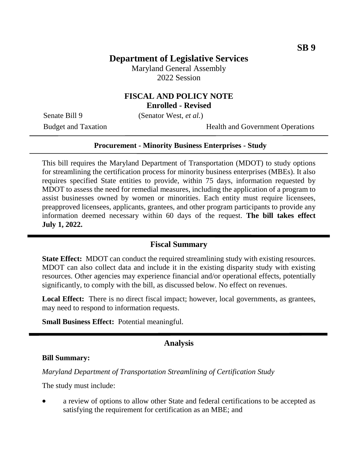# **Department of Legislative Services**

Maryland General Assembly 2022 Session

### **FISCAL AND POLICY NOTE Enrolled - Revised**

Senate Bill 9 (Senator West, *et al.*)

Budget and Taxation **Health** and Government Operations

#### **Procurement - Minority Business Enterprises - Study**

This bill requires the Maryland Department of Transportation (MDOT) to study options for streamlining the certification process for minority business enterprises (MBEs). It also requires specified State entities to provide, within 75 days, information requested by MDOT to assess the need for remedial measures, including the application of a program to assist businesses owned by women or minorities. Each entity must require licensees, preapproved licensees, applicants, grantees, and other program participants to provide any information deemed necessary within 60 days of the request. **The bill takes effect July 1, 2022.**

#### **Fiscal Summary**

**State Effect:** MDOT can conduct the required streamlining study with existing resources. MDOT can also collect data and include it in the existing disparity study with existing resources. Other agencies may experience financial and/or operational effects, potentially significantly, to comply with the bill, as discussed below. No effect on revenues.

**Local Effect:** There is no direct fiscal impact; however, local governments, as grantees, may need to respond to information requests.

**Small Business Effect:** Potential meaningful.

## **Analysis**

#### **Bill Summary:**

*Maryland Department of Transportation Streamlining of Certification Study*

The study must include:

 a review of options to allow other State and federal certifications to be accepted as satisfying the requirement for certification as an MBE; and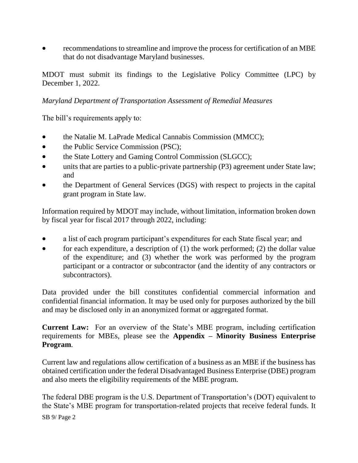• recommendations to streamline and improve the process for certification of an MBE that do not disadvantage Maryland businesses.

MDOT must submit its findings to the Legislative Policy Committee (LPC) by December 1, 2022.

#### *Maryland Department of Transportation Assessment of Remedial Measures*

The bill's requirements apply to:

- the Natalie M. LaPrade Medical Cannabis Commission (MMCC);
- the Public Service Commission (PSC);
- the State Lottery and Gaming Control Commission (SLGCC);
- units that are parties to a public-private partnership (P3) agreement under State law; and
- the Department of General Services (DGS) with respect to projects in the capital grant program in State law.

Information required by MDOT may include, without limitation, information broken down by fiscal year for fiscal 2017 through 2022, including:

- a list of each program participant's expenditures for each State fiscal year; and
- for each expenditure, a description of  $(1)$  the work performed;  $(2)$  the dollar value of the expenditure; and (3) whether the work was performed by the program participant or a contractor or subcontractor (and the identity of any contractors or subcontractors).

Data provided under the bill constitutes confidential commercial information and confidential financial information. It may be used only for purposes authorized by the bill and may be disclosed only in an anonymized format or aggregated format.

**Current Law:** For an overview of the State's MBE program, including certification requirements for MBEs, please see the **Appendix – Minority Business Enterprise Program**.

Current law and regulations allow certification of a business as an MBE if the business has obtained certification under the federal Disadvantaged Business Enterprise (DBE) program and also meets the eligibility requirements of the MBE program.

The federal DBE program is the U.S. Department of Transportation's (DOT) equivalent to the State's MBE program for transportation-related projects that receive federal funds. It

SB 9/ Page 2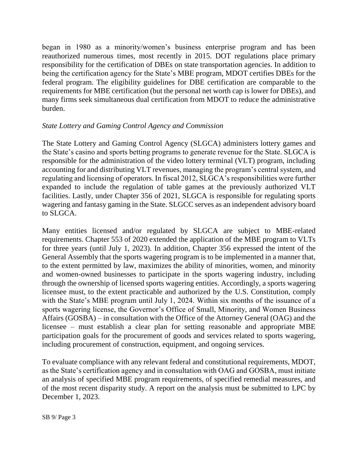began in 1980 as a minority/women's business enterprise program and has been reauthorized numerous times, most recently in 2015. DOT regulations place primary responsibility for the certification of DBEs on state transportation agencies. In addition to being the certification agency for the State's MBE program, MDOT certifies DBEs for the federal program. The eligibility guidelines for DBE certification are comparable to the requirements for MBE certification (but the personal net worth cap is lower for DBEs), and many firms seek simultaneous dual certification from MDOT to reduce the administrative burden.

### *State Lottery and Gaming Control Agency and Commission*

The State Lottery and Gaming Control Agency (SLGCA) administers lottery games and the State's casino and sports betting programs to generate revenue for the State. SLGCA is responsible for the administration of the video lottery terminal (VLT) program, including accounting for and distributing VLT revenues, managing the program's central system, and regulating and licensing of operators. In fiscal 2012, SLGCA's responsibilities were further expanded to include the regulation of table games at the previously authorized VLT facilities. Lastly, under Chapter 356 of 2021, SLGCA is responsible for regulating sports wagering and fantasy gaming in the State. SLGCC serves as an independent advisory board to SLGCA.

Many entities licensed and/or regulated by SLGCA are subject to MBE-related requirements. Chapter 553 of 2020 extended the application of the MBE program to VLTs for three years (until July 1, 2023). In addition, Chapter 356 expressed the intent of the General Assembly that the sports wagering program is to be implemented in a manner that, to the extent permitted by law, maximizes the ability of minorities, women, and minority and women-owned businesses to participate in the sports wagering industry, including through the ownership of licensed sports wagering entities. Accordingly, a sports wagering licensee must, to the extent practicable and authorized by the U.S. Constitution, comply with the State's MBE program until July 1, 2024. Within six months of the issuance of a sports wagering license, the Governor's Office of Small, Minority, and Women Business Affairs (GOSBA) – in consultation with the Office of the Attorney General (OAG) and the licensee – must establish a clear plan for setting reasonable and appropriate MBE participation goals for the procurement of goods and services related to sports wagering, including procurement of construction, equipment, and ongoing services.

To evaluate compliance with any relevant federal and constitutional requirements, MDOT, as the State's certification agency and in consultation with OAG and GOSBA, must initiate an analysis of specified MBE program requirements, of specified remedial measures, and of the most recent disparity study. A report on the analysis must be submitted to LPC by December 1, 2023.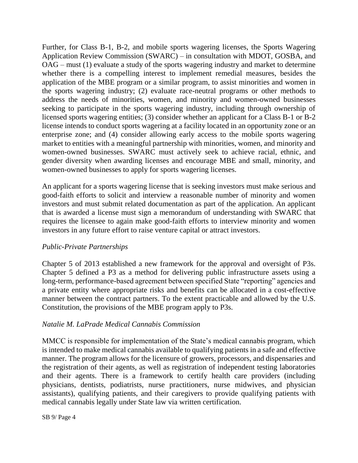Further, for Class B-1, B-2, and mobile sports wagering licenses, the Sports Wagering Application Review Commission (SWARC) – in consultation with MDOT, GOSBA, and OAG – must (1) evaluate a study of the sports wagering industry and market to determine whether there is a compelling interest to implement remedial measures, besides the application of the MBE program or a similar program, to assist minorities and women in the sports wagering industry; (2) evaluate race-neutral programs or other methods to address the needs of minorities, women, and minority and women-owned businesses seeking to participate in the sports wagering industry, including through ownership of licensed sports wagering entities; (3) consider whether an applicant for a Class B-1 or B-2 license intends to conduct sports wagering at a facility located in an opportunity zone or an enterprise zone; and (4) consider allowing early access to the mobile sports wagering market to entities with a meaningful partnership with minorities, women, and minority and women-owned businesses. SWARC must actively seek to achieve racial, ethnic, and gender diversity when awarding licenses and encourage MBE and small, minority, and women-owned businesses to apply for sports wagering licenses.

An applicant for a sports wagering license that is seeking investors must make serious and good-faith efforts to solicit and interview a reasonable number of minority and women investors and must submit related documentation as part of the application. An applicant that is awarded a license must sign a memorandum of understanding with SWARC that requires the licensee to again make good-faith efforts to interview minority and women investors in any future effort to raise venture capital or attract investors.

### *Public-Private Partnerships*

Chapter 5 of 2013 established a new framework for the approval and oversight of P3s. Chapter 5 defined a P3 as a method for delivering public infrastructure assets using a long-term, performance-based agreement between specified State "reporting" agencies and a private entity where appropriate risks and benefits can be allocated in a cost-effective manner between the contract partners. To the extent practicable and allowed by the U.S. Constitution, the provisions of the MBE program apply to P3s.

#### *Natalie M. LaPrade Medical Cannabis Commission*

MMCC is responsible for implementation of the State's medical cannabis program, which is intended to make medical cannabis available to qualifying patients in a safe and effective manner. The program allows for the licensure of growers, processors, and dispensaries and the registration of their agents, as well as registration of independent testing laboratories and their agents. There is a framework to certify health care providers (including physicians, dentists, podiatrists, nurse practitioners, nurse midwives, and physician assistants), qualifying patients, and their caregivers to provide qualifying patients with medical cannabis legally under State law via written certification.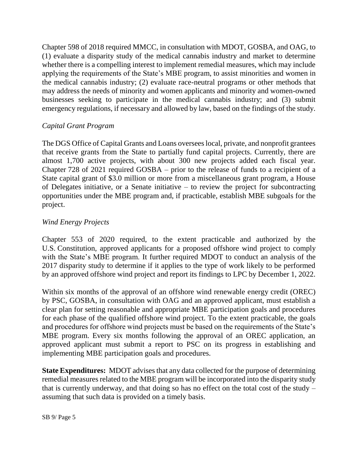Chapter 598 of 2018 required MMCC, in consultation with MDOT, GOSBA, and OAG, to (1) evaluate a disparity study of the medical cannabis industry and market to determine whether there is a compelling interest to implement remedial measures, which may include applying the requirements of the State's MBE program, to assist minorities and women in the medical cannabis industry; (2) evaluate race-neutral programs or other methods that may address the needs of minority and women applicants and minority and women-owned businesses seeking to participate in the medical cannabis industry; and (3) submit emergency regulations, if necessary and allowed by law, based on the findings of the study.

### *Capital Grant Program*

The DGS Office of Capital Grants and Loans oversees local, private, and nonprofit grantees that receive grants from the State to partially fund capital projects. Currently, there are almost 1,700 active projects, with about 300 new projects added each fiscal year. Chapter 728 of 2021 required GOSBA – prior to the release of funds to a recipient of a State capital grant of \$3.0 million or more from a miscellaneous grant program, a House of Delegates initiative, or a Senate initiative – to review the project for subcontracting opportunities under the MBE program and, if practicable, establish MBE subgoals for the project.

## *Wind Energy Projects*

Chapter 553 of 2020 required, to the extent practicable and authorized by the U.S. Constitution, approved applicants for a proposed offshore wind project to comply with the State's MBE program. It further required MDOT to conduct an analysis of the 2017 disparity study to determine if it applies to the type of work likely to be performed by an approved offshore wind project and report its findings to LPC by December 1, 2022.

Within six months of the approval of an offshore wind renewable energy credit (OREC) by PSC, GOSBA, in consultation with OAG and an approved applicant, must establish a clear plan for setting reasonable and appropriate MBE participation goals and procedures for each phase of the qualified offshore wind project. To the extent practicable, the goals and procedures for offshore wind projects must be based on the requirements of the State's MBE program. Every six months following the approval of an OREC application, an approved applicant must submit a report to PSC on its progress in establishing and implementing MBE participation goals and procedures.

**State Expenditures:** MDOT advises that any data collected for the purpose of determining remedial measures related to the MBE program will be incorporated into the disparity study that is currently underway, and that doing so has no effect on the total cost of the study – assuming that such data is provided on a timely basis.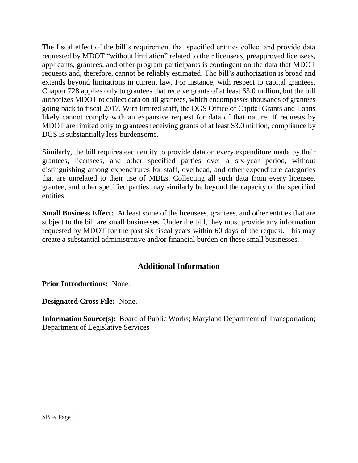The fiscal effect of the bill's requirement that specified entities collect and provide data requested by MDOT "without limitation" related to their licensees, preapproved licensees, applicants, grantees, and other program participants is contingent on the data that MDOT requests and, therefore, cannot be reliably estimated. The bill's authorization is broad and extends beyond limitations in current law. For instance, with respect to capital grantees, Chapter 728 applies only to grantees that receive grants of at least \$3.0 million, but the bill authorizes MDOT to collect data on all grantees, which encompasses thousands of grantees going back to fiscal 2017. With limited staff, the DGS Office of Capital Grants and Loans likely cannot comply with an expansive request for data of that nature. If requests by MDOT are limited only to grantees receiving grants of at least \$3.0 million, compliance by DGS is substantially less burdensome.

Similarly, the bill requires each entity to provide data on every expenditure made by their grantees, licensees, and other specified parties over a six-year period, without distinguishing among expenditures for staff, overhead, and other expenditure categories that are unrelated to their use of MBEs. Collecting all such data from every licensee, grantee, and other specified parties may similarly be beyond the capacity of the specified entities.

**Small Business Effect:** At least some of the licensees, grantees, and other entities that are subject to the bill are small businesses. Under the bill, they must provide any information requested by MDOT for the past six fiscal years within 60 days of the request. This may create a substantial administrative and/or financial burden on these small businesses.

# **Additional Information**

**Prior Introductions:** None.

**Designated Cross File:** None.

**Information Source(s):** Board of Public Works; Maryland Department of Transportation; Department of Legislative Services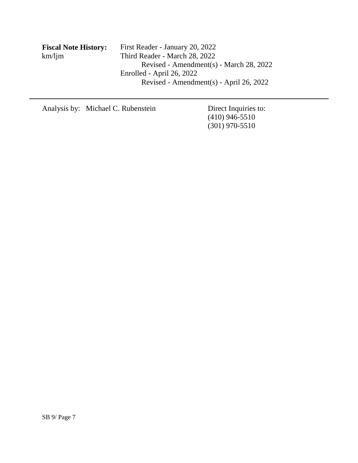| <b>Fiscal Note History:</b> | First Reader - January 20, 2022         |
|-----------------------------|-----------------------------------------|
| km/ljm                      | Third Reader - March 28, 2022           |
|                             | Revised - Amendment(s) - March 28, 2022 |
|                             | Enrolled - April 26, 2022               |
|                             | Revised - Amendment(s) - April 26, 2022 |
|                             |                                         |

Analysis by: Michael C. Rubenstein Direct Inquiries to:

(410) 946-5510 (301) 970-5510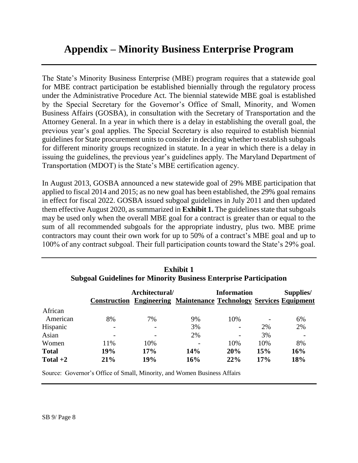# **Appendix – Minority Business Enterprise Program**

The State's Minority Business Enterprise (MBE) program requires that a statewide goal for MBE contract participation be established biennially through the regulatory process under the Administrative Procedure Act. The biennial statewide MBE goal is established by the Special Secretary for the Governor's Office of Small, Minority, and Women Business Affairs (GOSBA), in consultation with the Secretary of Transportation and the Attorney General. In a year in which there is a delay in establishing the overall goal, the previous year's goal applies. The Special Secretary is also required to establish biennial guidelines for State procurement units to consider in deciding whether to establish subgoals for different minority groups recognized in statute. In a year in which there is a delay in issuing the guidelines, the previous year's guidelines apply. The Maryland Department of Transportation (MDOT) is the State's MBE certification agency.

In August 2013, GOSBA announced a new statewide goal of 29% MBE participation that applied to fiscal 2014 and 2015; as no new goal has been established, the 29% goal remains in effect for fiscal 2022. GOSBA issued subgoal guidelines in July 2011 and then updated them effective August 2020, as summarized in **Exhibit 1.** The guidelines state that subgoals may be used only when the overall MBE goal for a contract is greater than or equal to the sum of all recommended subgoals for the appropriate industry, plus two. MBE prime contractors may count their own work for up to 50% of a contract's MBE goal and up to 100% of any contract subgoal. Their full participation counts toward the State's 29% goal.

|              |     | Architectural/ | <b>Construction Engineering Maintenance Technology Services Equipment</b> | <b>Information</b>       |     | Supplies/ |
|--------------|-----|----------------|---------------------------------------------------------------------------|--------------------------|-----|-----------|
| African      |     |                |                                                                           |                          |     |           |
| American     | 8%  | 7%             | 9%                                                                        | 10%                      |     | 6%        |
| Hispanic     |     |                | 3%                                                                        | $\overline{\phantom{a}}$ | 2%  | 2%        |
| Asian        |     |                | 2%                                                                        |                          | 3%  |           |
| Women        | 11% | 10%            |                                                                           | 10%                      | 10% | 8%        |
| <b>Total</b> | 19% | 17%            | <b>14%</b>                                                                | 20%                      | 15% | 16%       |
| Total $+2$   | 21% | 19%            | 16%                                                                       | 22%                      | 17% | 18%       |

**Exhibit 1 Subgoal Guidelines for Minority Business Enterprise Participation**

Source: Governor's Office of Small, Minority, and Women Business Affairs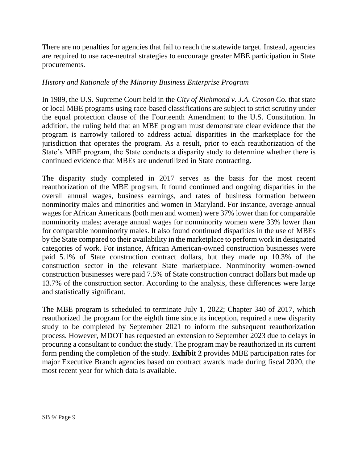There are no penalties for agencies that fail to reach the statewide target. Instead, agencies are required to use race-neutral strategies to encourage greater MBE participation in State procurements.

### *History and Rationale of the Minority Business Enterprise Program*

In 1989, the U.S. Supreme Court held in the *City of Richmond v. J.A. Croson Co.* that state or local MBE programs using race-based classifications are subject to strict scrutiny under the equal protection clause of the Fourteenth Amendment to the U.S. Constitution. In addition, the ruling held that an MBE program must demonstrate clear evidence that the program is narrowly tailored to address actual disparities in the marketplace for the jurisdiction that operates the program. As a result, prior to each reauthorization of the State's MBE program, the State conducts a disparity study to determine whether there is continued evidence that MBEs are underutilized in State contracting.

The disparity study completed in 2017 serves as the basis for the most recent reauthorization of the MBE program. It found continued and ongoing disparities in the overall annual wages, business earnings, and rates of business formation between nonminority males and minorities and women in Maryland. For instance, average annual wages for African Americans (both men and women) were 37% lower than for comparable nonminority males; average annual wages for nonminority women were 33% lower than for comparable nonminority males. It also found continued disparities in the use of MBEs by the State compared to their availability in the marketplace to perform work in designated categories of work. For instance, African American-owned construction businesses were paid 5.1% of State construction contract dollars, but they made up 10.3% of the construction sector in the relevant State marketplace. Nonminority women-owned construction businesses were paid 7.5% of State construction contract dollars but made up 13.7% of the construction sector. According to the analysis, these differences were large and statistically significant.

The MBE program is scheduled to terminate July 1, 2022; Chapter 340 of 2017, which reauthorized the program for the eighth time since its inception, required a new disparity study to be completed by September 2021 to inform the subsequent reauthorization process. However, MDOT has requested an extension to September 2023 due to delays in procuring a consultant to conduct the study. The program may be reauthorized in its current form pending the completion of the study. **Exhibit 2** provides MBE participation rates for major Executive Branch agencies based on contract awards made during fiscal 2020, the most recent year for which data is available.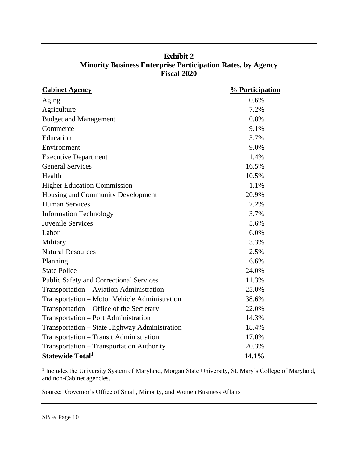| <b>Exhibit 2</b>                                                   |
|--------------------------------------------------------------------|
| <b>Minority Business Enterprise Participation Rates, by Agency</b> |
| <b>Fiscal 2020</b>                                                 |

| <b>Cabinet Agency</b>                          | % Participation |
|------------------------------------------------|-----------------|
| Aging                                          | 0.6%            |
| Agriculture                                    | 7.2%            |
| <b>Budget and Management</b>                   | 0.8%            |
| Commerce                                       | 9.1%            |
| Education                                      | 3.7%            |
| Environment                                    | 9.0%            |
| <b>Executive Department</b>                    | 1.4%            |
| <b>General Services</b>                        | 16.5%           |
| Health                                         | 10.5%           |
| <b>Higher Education Commission</b>             | 1.1%            |
| Housing and Community Development              | 20.9%           |
| <b>Human Services</b>                          | 7.2%            |
| <b>Information Technology</b>                  | 3.7%            |
| Juvenile Services                              | 5.6%            |
| Labor                                          | 6.0%            |
| Military                                       | 3.3%            |
| <b>Natural Resources</b>                       | 2.5%            |
| Planning                                       | 6.6%            |
| <b>State Police</b>                            | 24.0%           |
| <b>Public Safety and Correctional Services</b> | 11.3%           |
| Transportation - Aviation Administration       | 25.0%           |
| Transportation – Motor Vehicle Administration  | 38.6%           |
| Transportation - Office of the Secretary       | 22.0%           |
| Transportation – Port Administration           | 14.3%           |
| Transportation – State Highway Administration  | 18.4%           |
| Transportation - Transit Administration        | 17.0%           |
| Transportation - Transportation Authority      | 20.3%           |
| <b>Statewide Total</b> <sup>1</sup>            | 14.1%           |

<sup>1</sup> Includes the University System of Maryland, Morgan State University, St. Mary's College of Maryland, and non-Cabinet agencies.

Source: Governor's Office of Small, Minority, and Women Business Affairs